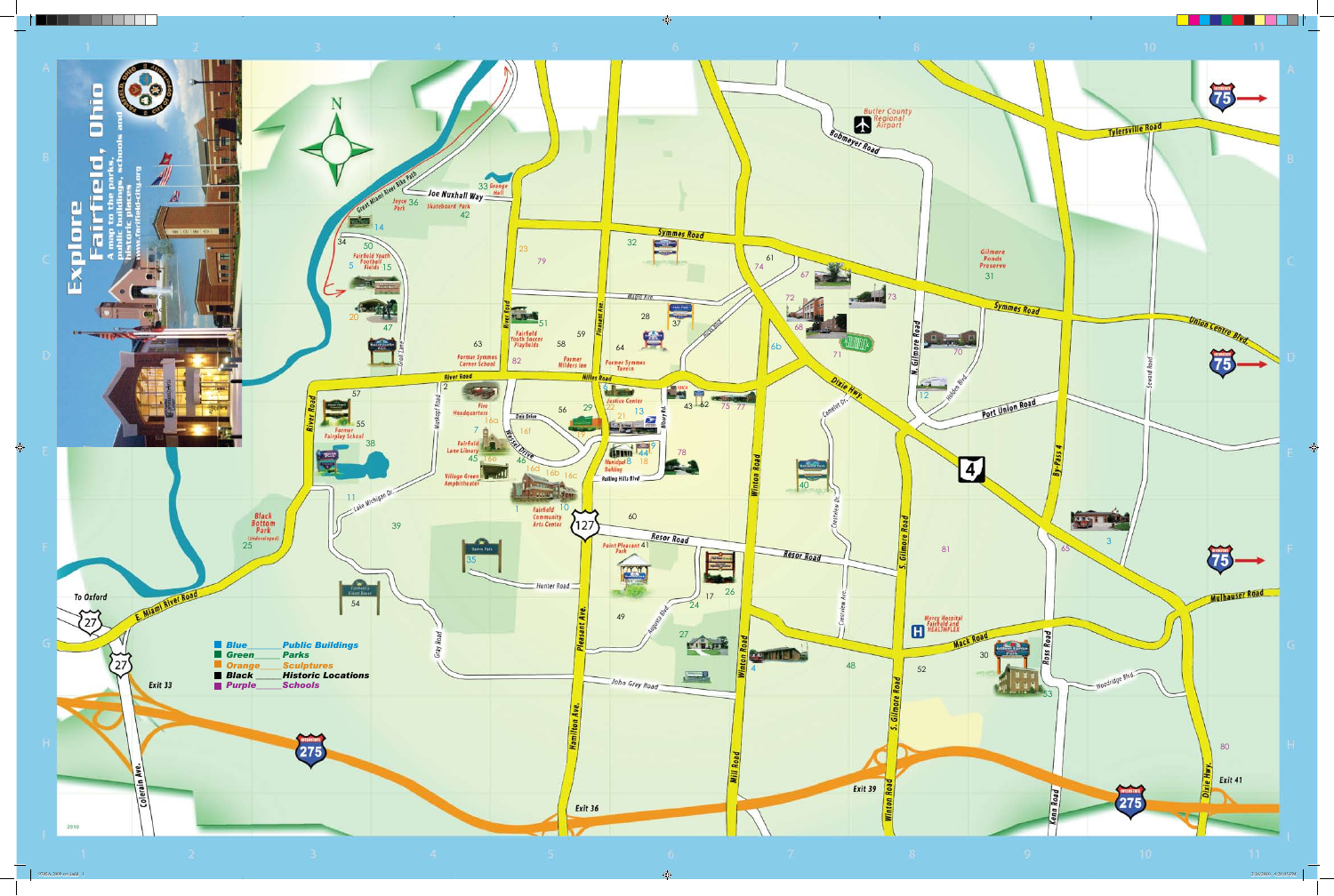